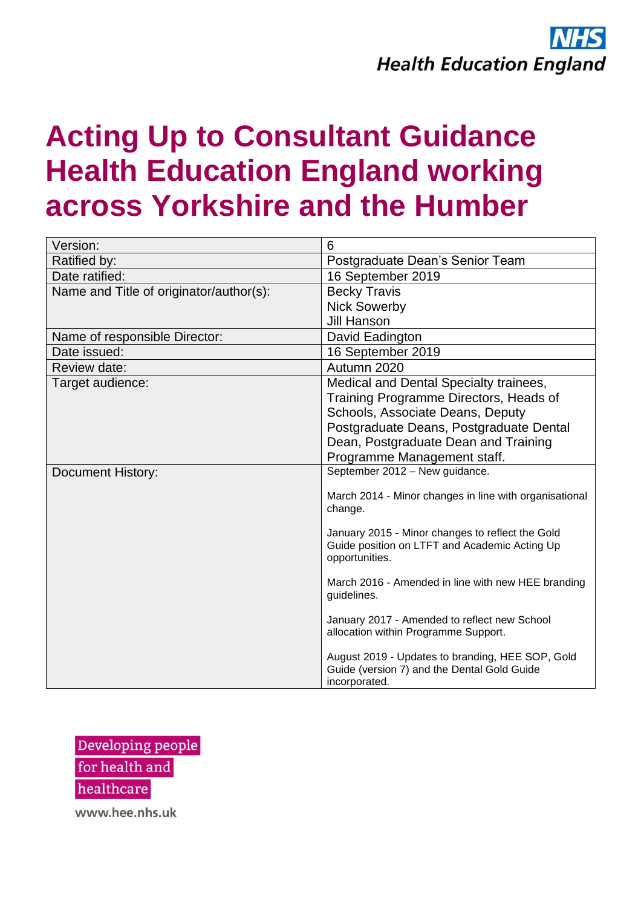# **Acting Up to Consultant Guidance Health Education England working across Yorkshire and the Humber**

| Version:                                | 6                                                                                                                   |
|-----------------------------------------|---------------------------------------------------------------------------------------------------------------------|
| Ratified by:                            | Postgraduate Dean's Senior Team                                                                                     |
| Date ratified:                          | 16 September 2019                                                                                                   |
| Name and Title of originator/author(s): | <b>Becky Travis</b>                                                                                                 |
|                                         | <b>Nick Sowerby</b>                                                                                                 |
|                                         | <b>Jill Hanson</b>                                                                                                  |
| Name of responsible Director:           | David Eadington                                                                                                     |
| Date issued:                            | 16 September 2019                                                                                                   |
| Review date:                            | Autumn 2020                                                                                                         |
| Target audience:                        | Medical and Dental Specialty trainees,                                                                              |
|                                         | Training Programme Directors, Heads of                                                                              |
|                                         | Schools, Associate Deans, Deputy                                                                                    |
|                                         | Postgraduate Deans, Postgraduate Dental                                                                             |
|                                         | Dean, Postgraduate Dean and Training                                                                                |
|                                         | Programme Management staff.                                                                                         |
| <b>Document History:</b>                | September 2012 - New guidance.                                                                                      |
|                                         | March 2014 - Minor changes in line with organisational<br>change.                                                   |
|                                         | January 2015 - Minor changes to reflect the Gold<br>Guide position on LTFT and Academic Acting Up<br>opportunities. |
|                                         | March 2016 - Amended in line with new HEE branding<br>guidelines.                                                   |
|                                         | January 2017 - Amended to reflect new School<br>allocation within Programme Support.                                |
|                                         | August 2019 - Updates to branding, HEE SOP, Gold<br>Guide (version 7) and the Dental Gold Guide<br>incorporated.    |

Developing people for health and healthcare

www.hee.nhs.uk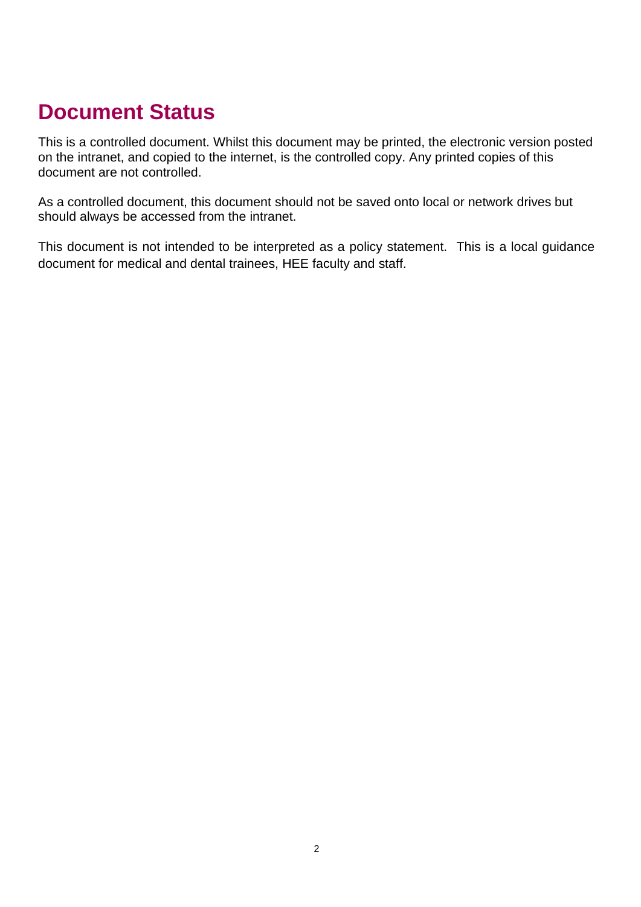## <span id="page-1-0"></span>**Document Status**

This is a controlled document. Whilst this document may be printed, the electronic version posted on the intranet, and copied to the internet, is the controlled copy. Any printed copies of this document are not controlled.

As a controlled document, this document should not be saved onto local or network drives but should always be accessed from the intranet.

This document is not intended to be interpreted as a policy statement. This is a local guidance document for medical and dental trainees, HEE faculty and staff.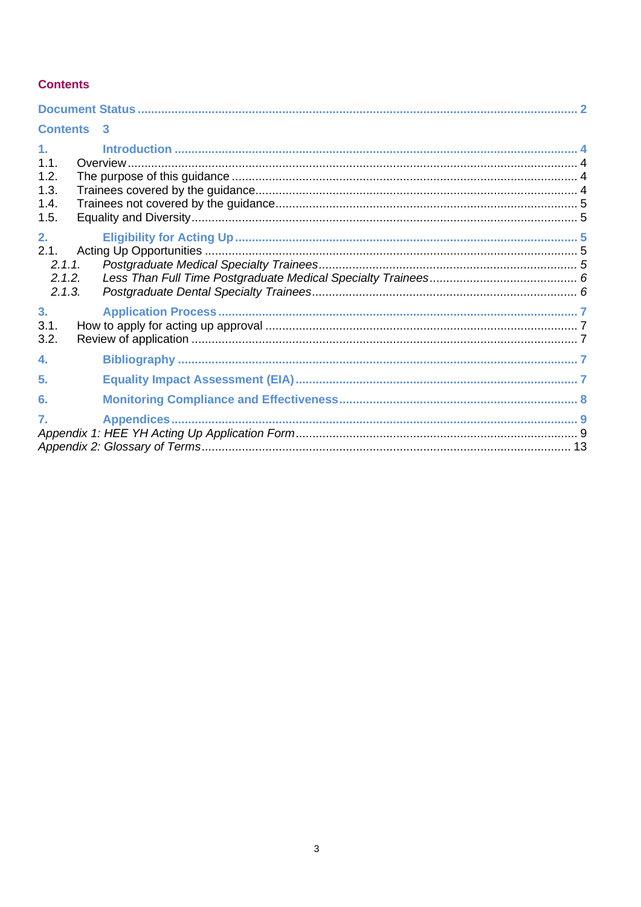#### <span id="page-2-0"></span>**Contents**

| <b>Contents 3</b>                                      |  |  |
|--------------------------------------------------------|--|--|
| 1 <sub>1</sub><br>1.1.<br>1.2.<br>1.3.<br>1.4.<br>1.5. |  |  |
| 2.<br>2.1.<br>2.1.1.<br>2.1.2.<br>2.1.3.               |  |  |
| 3 <sub>1</sub><br>3.1.<br>3.2.                         |  |  |
| 4.                                                     |  |  |
| 5.                                                     |  |  |
| 6.                                                     |  |  |
| $\overline{7}$ .                                       |  |  |
|                                                        |  |  |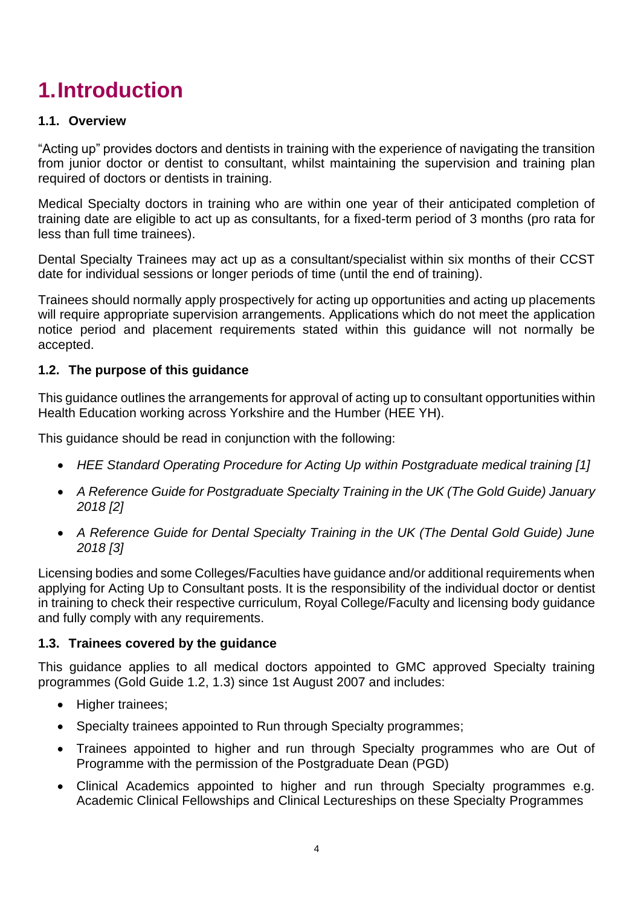## <span id="page-3-0"></span>**1.Introduction**

#### <span id="page-3-1"></span>**1.1. Overview**

"Acting up" provides doctors and dentists in training with the experience of navigating the transition from junior doctor or dentist to consultant, whilst maintaining the supervision and training plan required of doctors or dentists in training.

Medical Specialty doctors in training who are within one year of their anticipated completion of training date are eligible to act up as consultants, for a fixed-term period of 3 months (pro rata for less than full time trainees).

Dental Specialty Trainees may act up as a consultant/specialist within six months of their CCST date for individual sessions or longer periods of time (until the end of training).

Trainees should normally apply prospectively for acting up opportunities and acting up placements will require appropriate supervision arrangements. Applications which do not meet the application notice period and placement requirements stated within this guidance will not normally be accepted.

### <span id="page-3-2"></span>**1.2. The purpose of this guidance**

This guidance outlines the arrangements for approval of acting up to consultant opportunities within Health Education working across Yorkshire and the Humber (HEE YH).

This guidance should be read in conjunction with the following:

- *HEE Standard Operating Procedure for Acting Up within Postgraduate medical training [1]*
- *A Reference Guide for Postgraduate Specialty Training in the UK (The Gold Guide) January 2018 [2]*
- *A Reference Guide for Dental Specialty Training in the UK (The Dental Gold Guide) June 2018 [3]*

Licensing bodies and some Colleges/Faculties have guidance and/or additional requirements when applying for Acting Up to Consultant posts. It is the responsibility of the individual doctor or dentist in training to check their respective curriculum, Royal College/Faculty and licensing body guidance and fully comply with any requirements.

#### <span id="page-3-3"></span>**1.3. Trainees covered by the guidance**

This guidance applies to all medical doctors appointed to GMC approved Specialty training programmes (Gold Guide 1.2, 1.3) since 1st August 2007 and includes:

- Higher trainees:
- Specialty trainees appointed to Run through Specialty programmes;
- Trainees appointed to higher and run through Specialty programmes who are Out of Programme with the permission of the Postgraduate Dean (PGD)
- Clinical Academics appointed to higher and run through Specialty programmes e.g. Academic Clinical Fellowships and Clinical Lectureships on these Specialty Programmes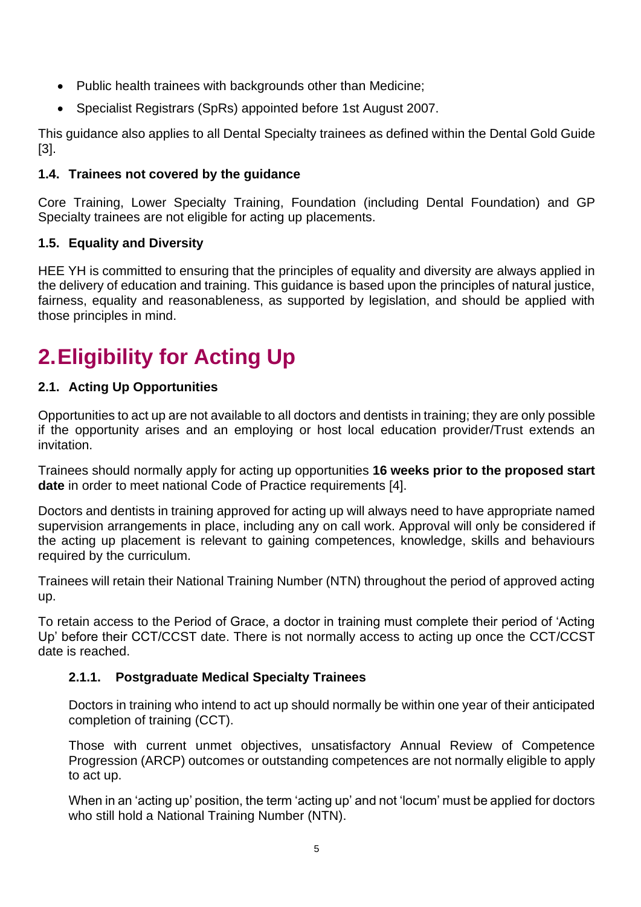- Public health trainees with backgrounds other than Medicine;
- Specialist Registrars (SpRs) appointed before 1st August 2007.

This guidance also applies to all Dental Specialty trainees as defined within the Dental Gold Guide [3].

### <span id="page-4-0"></span>**1.4. Trainees not covered by the guidance**

Core Training, Lower Specialty Training, Foundation (including Dental Foundation) and GP Specialty trainees are not eligible for acting up placements.

### <span id="page-4-1"></span>**1.5. Equality and Diversity**

HEE YH is committed to ensuring that the principles of equality and diversity are always applied in the delivery of education and training. This guidance is based upon the principles of natural justice, fairness, equality and reasonableness, as supported by legislation, and should be applied with those principles in mind.

## <span id="page-4-2"></span>**2.Eligibility for Acting Up**

### <span id="page-4-3"></span>**2.1. Acting Up Opportunities**

Opportunities to act up are not available to all doctors and dentists in training; they are only possible if the opportunity arises and an employing or host local education provider/Trust extends an invitation.

Trainees should normally apply for acting up opportunities **16 weeks prior to the proposed start date** in order to meet national Code of Practice requirements [4].

Doctors and dentists in training approved for acting up will always need to have appropriate named supervision arrangements in place, including any on call work. Approval will only be considered if the acting up placement is relevant to gaining competences, knowledge, skills and behaviours required by the curriculum.

Trainees will retain their National Training Number (NTN) throughout the period of approved acting up.

To retain access to the Period of Grace, a doctor in training must complete their period of 'Acting Up' before their CCT/CCST date. There is not normally access to acting up once the CCT/CCST date is reached.

#### <span id="page-4-4"></span>**2.1.1. Postgraduate Medical Specialty Trainees**

Doctors in training who intend to act up should normally be within one year of their anticipated completion of training (CCT).

Those with current unmet objectives, unsatisfactory Annual Review of Competence Progression (ARCP) outcomes or outstanding competences are not normally eligible to apply to act up.

When in an 'acting up' position, the term 'acting up' and not 'locum' must be applied for doctors who still hold a National Training Number (NTN).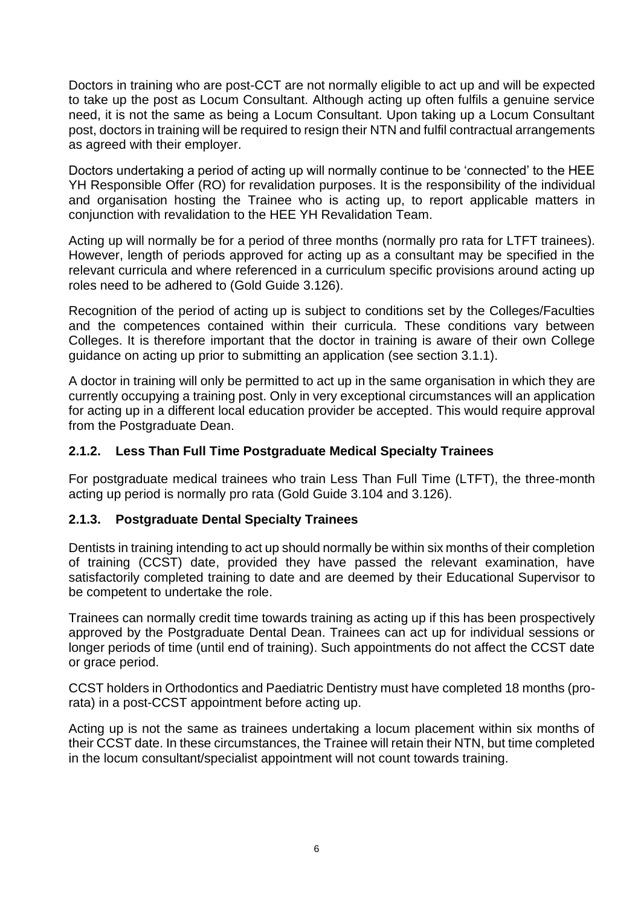Doctors in training who are post-CCT are not normally eligible to act up and will be expected to take up the post as Locum Consultant. Although acting up often fulfils a genuine service need, it is not the same as being a Locum Consultant. Upon taking up a Locum Consultant post, doctors in training will be required to resign their NTN and fulfil contractual arrangements as agreed with their employer.

Doctors undertaking a period of acting up will normally continue to be 'connected' to the HEE YH Responsible Offer (RO) for revalidation purposes. It is the responsibility of the individual and organisation hosting the Trainee who is acting up, to report applicable matters in conjunction with revalidation to the HEE YH Revalidation Team.

Acting up will normally be for a period of three months (normally pro rata for LTFT trainees). However, length of periods approved for acting up as a consultant may be specified in the relevant curricula and where referenced in a curriculum specific provisions around acting up roles need to be adhered to (Gold Guide 3.126).

Recognition of the period of acting up is subject to conditions set by the Colleges/Faculties and the competences contained within their curricula. These conditions vary between Colleges. It is therefore important that the doctor in training is aware of their own College guidance on acting up prior to submitting an application (see section 3.1.1).

A doctor in training will only be permitted to act up in the same organisation in which they are currently occupying a training post. Only in very exceptional circumstances will an application for acting up in a different local education provider be accepted. This would require approval from the Postgraduate Dean.

#### <span id="page-5-0"></span>**2.1.2. Less Than Full Time Postgraduate Medical Specialty Trainees**

For postgraduate medical trainees who train Less Than Full Time (LTFT), the three-month acting up period is normally pro rata (Gold Guide 3.104 and 3.126).

#### <span id="page-5-1"></span>**2.1.3. Postgraduate Dental Specialty Trainees**

Dentists in training intending to act up should normally be within six months of their completion of training (CCST) date, provided they have passed the relevant examination, have satisfactorily completed training to date and are deemed by their Educational Supervisor to be competent to undertake the role.

Trainees can normally credit time towards training as acting up if this has been prospectively approved by the Postgraduate Dental Dean. Trainees can act up for individual sessions or longer periods of time (until end of training). Such appointments do not affect the CCST date or grace period.

CCST holders in Orthodontics and Paediatric Dentistry must have completed 18 months (prorata) in a post-CCST appointment before acting up.

Acting up is not the same as trainees undertaking a locum placement within six months of their CCST date. In these circumstances, the Trainee will retain their NTN, but time completed in the locum consultant/specialist appointment will not count towards training.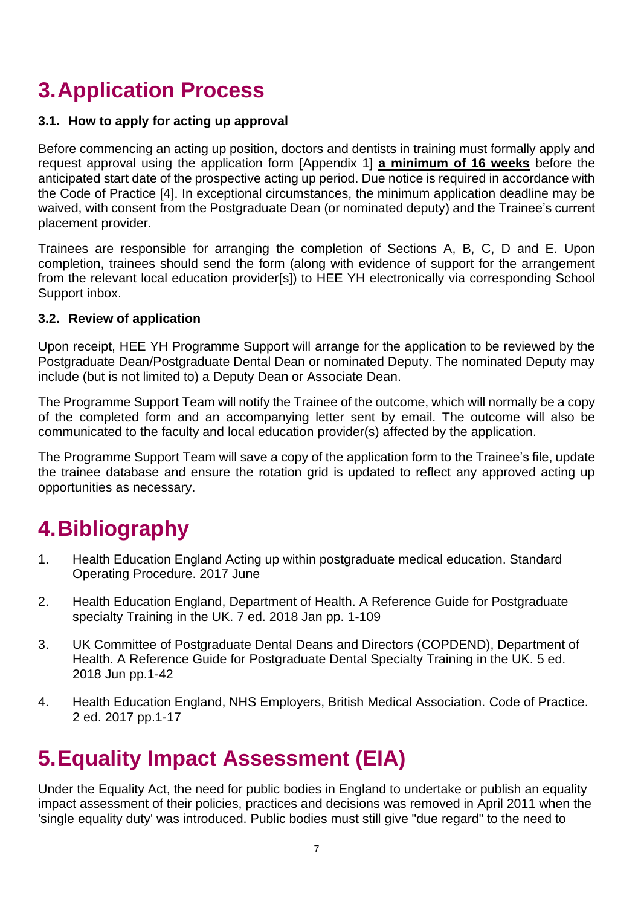## <span id="page-6-0"></span>**3.Application Process**

#### <span id="page-6-1"></span>**3.1. How to apply for acting up approval**

Before commencing an acting up position, doctors and dentists in training must formally apply and request approval using the application form [Appendix 1] **a minimum of 16 weeks** before the anticipated start date of the prospective acting up period. Due notice is required in accordance with the Code of Practice [4]. In exceptional circumstances, the minimum application deadline may be waived, with consent from the Postgraduate Dean (or nominated deputy) and the Trainee's current placement provider.

Trainees are responsible for arranging the completion of Sections A, B, C, D and E. Upon completion, trainees should send the form (along with evidence of support for the arrangement from the relevant local education provider[s]) to HEE YH electronically via corresponding School Support inbox.

#### <span id="page-6-2"></span>**3.2. Review of application**

Upon receipt, HEE YH Programme Support will arrange for the application to be reviewed by the Postgraduate Dean/Postgraduate Dental Dean or nominated Deputy. The nominated Deputy may include (but is not limited to) a Deputy Dean or Associate Dean.

The Programme Support Team will notify the Trainee of the outcome, which will normally be a copy of the completed form and an accompanying letter sent by email. The outcome will also be communicated to the faculty and local education provider(s) affected by the application.

The Programme Support Team will save a copy of the application form to the Trainee's file, update the trainee database and ensure the rotation grid is updated to reflect any approved acting up opportunities as necessary.

## <span id="page-6-3"></span>**4.Bibliography**

- 1. Health Education England Acting up within postgraduate medical education. Standard Operating Procedure. 2017 June
- 2. Health Education England, Department of Health. A Reference Guide for Postgraduate specialty Training in the UK. 7 ed. 2018 Jan pp. 1-109
- 3. UK Committee of Postgraduate Dental Deans and Directors (COPDEND), Department of Health. A Reference Guide for Postgraduate Dental Specialty Training in the UK. 5 ed. 2018 Jun pp.1-42
- 4. Health Education England, NHS Employers, British Medical Association. Code of Practice. 2 ed. 2017 pp.1-17

## <span id="page-6-4"></span>**5.Equality Impact Assessment (EIA)**

Under the Equality Act, the need for public bodies in England to undertake or publish an equality impact assessment of their policies, practices and decisions was removed in April 2011 when the 'single equality duty' was introduced. Public bodies must still give "due regard" to the need to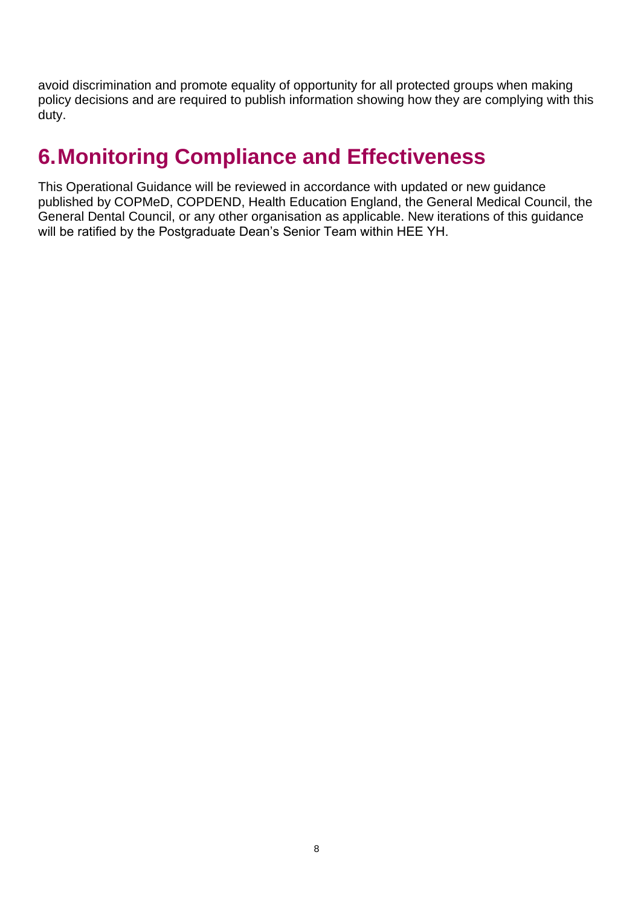avoid discrimination and promote equality of opportunity for all protected groups when making policy decisions and are required to publish information showing how they are complying with this duty.

## <span id="page-7-0"></span>**6.Monitoring Compliance and Effectiveness**

This Operational Guidance will be reviewed in accordance with updated or new guidance published by COPMeD, COPDEND, Health Education England, the General Medical Council, the General Dental Council, or any other organisation as applicable. New iterations of this guidance will be ratified by the Postgraduate Dean's Senior Team within HEE YH.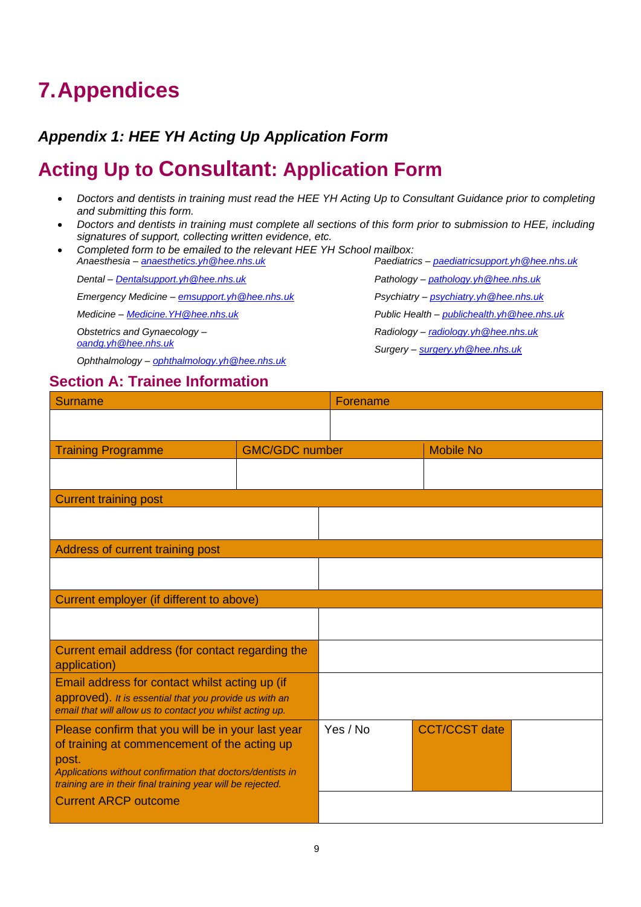## <span id="page-8-0"></span>**7.Appendices**

### <span id="page-8-1"></span>*Appendix 1: HEE YH Acting Up Application Form*

### **Acting Up to Consultant: Application Form**

- *Doctors and dentists in training must read the HEE YH Acting Up to Consultant Guidance prior to completing and submitting this form.*
- *Doctors and dentists in training must complete all sections of this form prior to submission to HEE, including signatures of support, collecting written evidence, etc.*
- *Completed form to be emailed to the relevant HEE YH School mailbox: Anaesthesia – [anaesthetics.yh@hee.nhs.uk](mailto:anaesthetics.yh@hee.nhs.uk)*

*Dental – [Dentalsupport.yh@hee.nhs.uk](mailto:Dentalsupport.yh@hee.nhs.uk)*

*Emergency Medicine – [emsupport.yh@hee.nhs.uk](mailto:emsupport.yh@hee.nhs.uk)*

*Medicine – [Medicine.YH@hee.nhs.uk](mailto:Medicine.YH@hee.nhs.uk)*

*Obstetrics and Gynaecology – [oandg.yh@hee.nhs.uk](mailto:oandg.yh@hee.nhs.uk)*

*Ophthalmology – [ophthalmology.yh@hee.nhs.uk](mailto:ophthalmology.yh@hee.nhs.uk)*

### **Section A: Trainee Information**

*Paediatrics – [paediatricsupport.yh@hee.nhs.uk](mailto:paediatricsupport.yh@hee.nhs.uk) Pathology – [pathology.yh@hee.nhs.uk](mailto:pathology.yh@hee.nhs.uk) Psychiatry – [psychiatry.yh@hee.nhs.uk](mailto:psychiatry.yh@hee.nhs.uk) Public Health – [publichealth.yh@hee.nhs.uk](mailto:publichealth.yh@hee.nhs.uk) Radiology – [radiology.yh@hee.nhs.uk](mailto:radiology.yh@hee.nhs.uk)*

*Surgery – [surgery.yh@hee.nhs.uk](mailto:surgery.yh@hee.nhs.uk)*

| <b>Surname</b>                                                                                                                                                                                                                          |                       | Forename |                      |  |
|-----------------------------------------------------------------------------------------------------------------------------------------------------------------------------------------------------------------------------------------|-----------------------|----------|----------------------|--|
|                                                                                                                                                                                                                                         |                       |          |                      |  |
| <b>Training Programme</b>                                                                                                                                                                                                               | <b>GMC/GDC number</b> |          | <b>Mobile No</b>     |  |
|                                                                                                                                                                                                                                         |                       |          |                      |  |
| <b>Current training post</b>                                                                                                                                                                                                            |                       |          |                      |  |
|                                                                                                                                                                                                                                         |                       |          |                      |  |
| Address of current training post                                                                                                                                                                                                        |                       |          |                      |  |
|                                                                                                                                                                                                                                         |                       |          |                      |  |
| Current employer (if different to above)                                                                                                                                                                                                |                       |          |                      |  |
|                                                                                                                                                                                                                                         |                       |          |                      |  |
| Current email address (for contact regarding the<br>application)                                                                                                                                                                        |                       |          |                      |  |
| Email address for contact whilst acting up (if<br>approved). It is essential that you provide us with an<br>email that will allow us to contact you whilst acting up.                                                                   |                       |          |                      |  |
| Please confirm that you will be in your last year<br>of training at commencement of the acting up<br>post.<br>Applications without confirmation that doctors/dentists in<br>training are in their final training year will be rejected. |                       | Yes / No | <b>CCT/CCST</b> date |  |
| <b>Current ARCP outcome</b>                                                                                                                                                                                                             |                       |          |                      |  |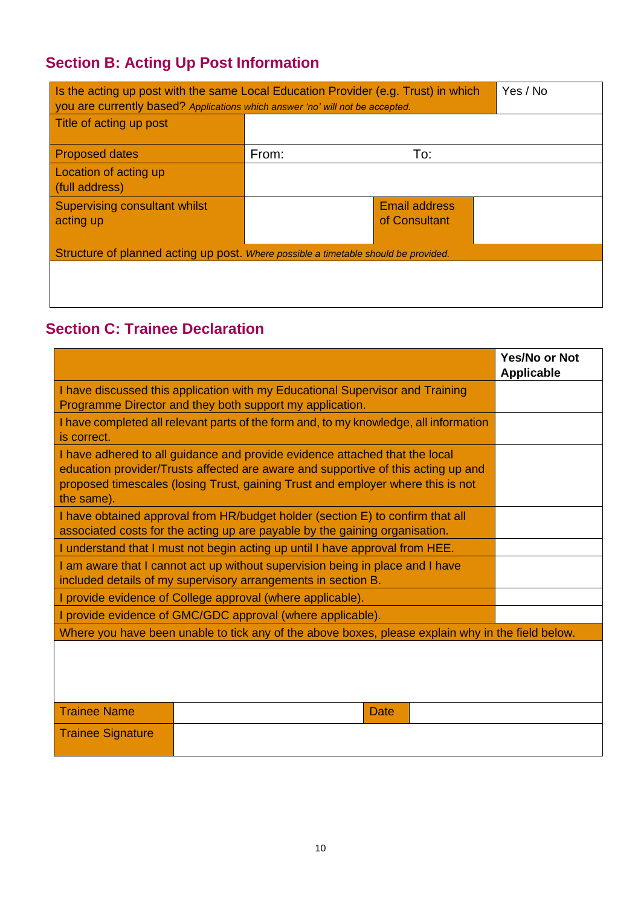### **Section B: Acting Up Post Information**

| Is the acting up post with the same Local Education Provider (e.g. Trust) in which<br>you are currently based? Applications which answer 'no' will not be accepted. | Yes / No |                                       |  |  |
|---------------------------------------------------------------------------------------------------------------------------------------------------------------------|----------|---------------------------------------|--|--|
| Title of acting up post                                                                                                                                             |          |                                       |  |  |
| <b>Proposed dates</b>                                                                                                                                               | From:    | To:                                   |  |  |
| Location of acting up<br>(full address)                                                                                                                             |          |                                       |  |  |
| <b>Supervising consultant whilst</b><br>acting up                                                                                                                   |          | <b>Email address</b><br>of Consultant |  |  |
| Structure of planned acting up post. Where possible a timetable should be provided.                                                                                 |          |                                       |  |  |
|                                                                                                                                                                     |          |                                       |  |  |

### **Section C: Trainee Declaration**

|                                                                                                                                                                                                                                                                   | <b>Yes/No or Not</b><br><b>Applicable</b> |
|-------------------------------------------------------------------------------------------------------------------------------------------------------------------------------------------------------------------------------------------------------------------|-------------------------------------------|
| I have discussed this application with my Educational Supervisor and Training<br>Programme Director and they both support my application.                                                                                                                         |                                           |
| I have completed all relevant parts of the form and, to my knowledge, all information<br>is correct.                                                                                                                                                              |                                           |
| I have adhered to all guidance and provide evidence attached that the local<br>education provider/Trusts affected are aware and supportive of this acting up and<br>proposed timescales (losing Trust, gaining Trust and employer where this is not<br>the same). |                                           |
| I have obtained approval from HR/budget holder (section E) to confirm that all<br>associated costs for the acting up are payable by the gaining organisation.                                                                                                     |                                           |
| I understand that I must not begin acting up until I have approval from HEE.                                                                                                                                                                                      |                                           |
| I am aware that I cannot act up without supervision being in place and I have<br>included details of my supervisory arrangements in section B.                                                                                                                    |                                           |
| I provide evidence of College approval (where applicable).                                                                                                                                                                                                        |                                           |
| I provide evidence of GMC/GDC approval (where applicable).                                                                                                                                                                                                        |                                           |
| Where you have been unable to tick any of the above boxes, please explain why in the field below.                                                                                                                                                                 |                                           |
|                                                                                                                                                                                                                                                                   |                                           |
| <b>Trainee Name</b><br>Date                                                                                                                                                                                                                                       |                                           |
| <b>Trainee Signature</b>                                                                                                                                                                                                                                          |                                           |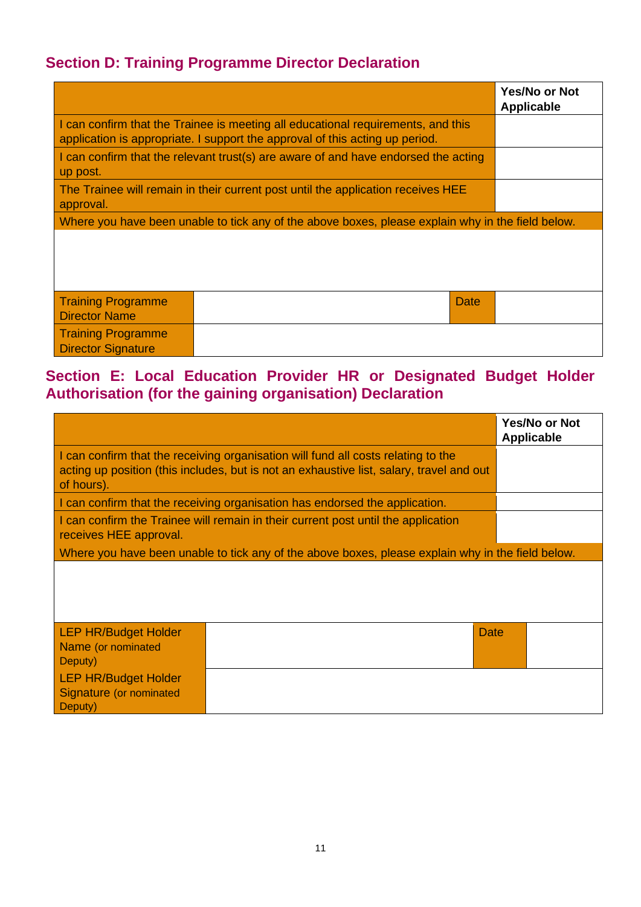### **Section D: Training Programme Director Declaration**

|                                                        |                                                                                                                                                                  | <b>Yes/No or Not</b><br><b>Applicable</b> |
|--------------------------------------------------------|------------------------------------------------------------------------------------------------------------------------------------------------------------------|-------------------------------------------|
|                                                        | I can confirm that the Trainee is meeting all educational requirements, and this<br>application is appropriate. I support the approval of this acting up period. |                                           |
| up post.                                               | I can confirm that the relevant trust(s) are aware of and have endorsed the acting                                                                               |                                           |
| approval.                                              | The Trainee will remain in their current post until the application receives HEE                                                                                 |                                           |
|                                                        | Where you have been unable to tick any of the above boxes, please explain why in the field below.                                                                |                                           |
|                                                        |                                                                                                                                                                  |                                           |
| <b>Training Programme</b><br><b>Director Name</b>      | Date                                                                                                                                                             |                                           |
| <b>Training Programme</b><br><b>Director Signature</b> |                                                                                                                                                                  |                                           |

### **Section E: Local Education Provider HR or Designated Budget Holder Authorisation (for the gaining organisation) Declaration**

|                                                                                                                                                                                             |                                                                                                   | <b>Yes/No or Not</b><br><b>Applicable</b> |
|---------------------------------------------------------------------------------------------------------------------------------------------------------------------------------------------|---------------------------------------------------------------------------------------------------|-------------------------------------------|
| I can confirm that the receiving organisation will fund all costs relating to the<br>acting up position (this includes, but is not an exhaustive list, salary, travel and out<br>of hours). |                                                                                                   |                                           |
|                                                                                                                                                                                             | I can confirm that the receiving organisation has endorsed the application.                       |                                           |
| receives HEE approval.                                                                                                                                                                      | I can confirm the Trainee will remain in their current post until the application                 |                                           |
|                                                                                                                                                                                             | Where you have been unable to tick any of the above boxes, please explain why in the field below. |                                           |
|                                                                                                                                                                                             |                                                                                                   |                                           |
| <b>LEP HR/Budget Holder</b><br>Name (or nominated<br>Deputy)                                                                                                                                |                                                                                                   | <b>Date</b>                               |
| <b>LEP HR/Budget Holder</b><br>Signature (or nominated<br>Deputy)                                                                                                                           |                                                                                                   |                                           |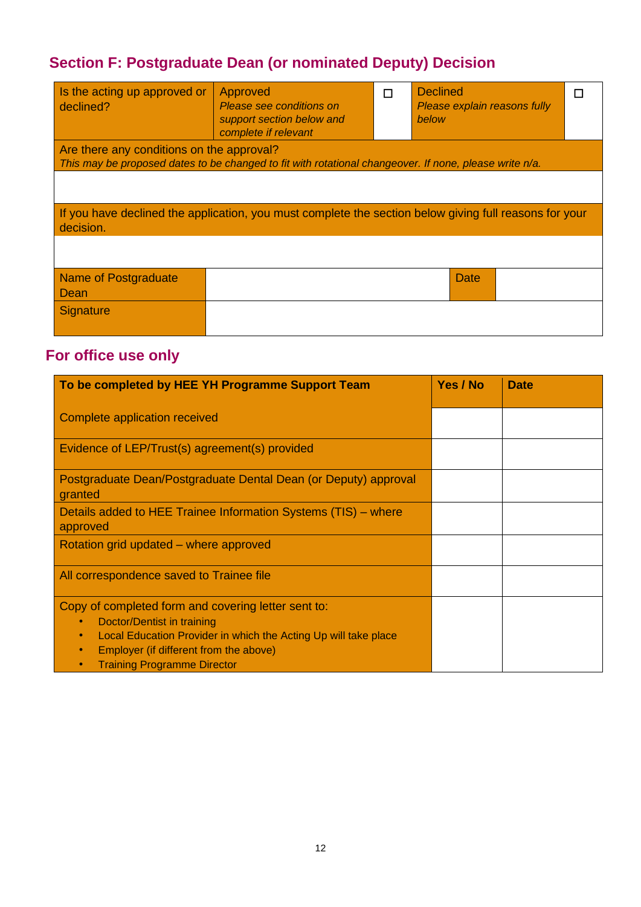### **Section F: Postgraduate Dean (or nominated Deputy) Decision**

| Is the acting up approved or<br>declined? | Approved<br>Please see conditions on<br>support section below and<br>complete if relevant              | п | <b>Declined</b><br>Please explain reasons fully<br>below |  |
|-------------------------------------------|--------------------------------------------------------------------------------------------------------|---|----------------------------------------------------------|--|
| Are there any conditions on the approval? |                                                                                                        |   |                                                          |  |
|                                           | This may be proposed dates to be changed to fit with rotational changeover. If none, please write n/a. |   |                                                          |  |
|                                           |                                                                                                        |   |                                                          |  |
| decision.                                 | If you have declined the application, you must complete the section below giving full reasons for your |   |                                                          |  |
|                                           |                                                                                                        |   |                                                          |  |
| Name of Postgraduate<br>Dean              |                                                                                                        |   | Date                                                     |  |
| <b>Signature</b>                          |                                                                                                        |   |                                                          |  |

### **For office use only**

| To be completed by HEE YH Programme Support Team                                                                                                                                                                                     | Yes / No | <b>Date</b> |
|--------------------------------------------------------------------------------------------------------------------------------------------------------------------------------------------------------------------------------------|----------|-------------|
| Complete application received                                                                                                                                                                                                        |          |             |
| Evidence of LEP/Trust(s) agreement(s) provided                                                                                                                                                                                       |          |             |
| Postgraduate Dean/Postgraduate Dental Dean (or Deputy) approval<br>granted                                                                                                                                                           |          |             |
| Details added to HEE Trainee Information Systems (TIS) - where<br>approved                                                                                                                                                           |          |             |
| Rotation grid updated – where approved                                                                                                                                                                                               |          |             |
| All correspondence saved to Trainee file                                                                                                                                                                                             |          |             |
| Copy of completed form and covering letter sent to:<br>Doctor/Dentist in training<br>Local Education Provider in which the Acting Up will take place<br>Employer (if different from the above)<br><b>Training Programme Director</b> |          |             |